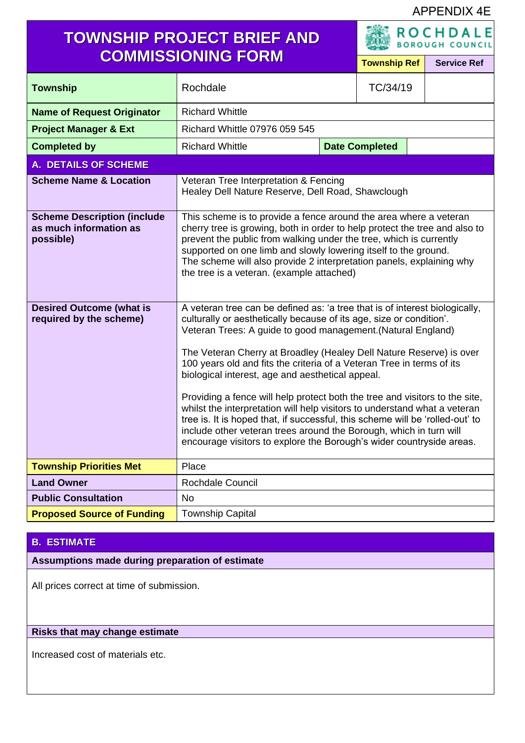#### APPENDIX 4E

## **TOWNSHIP PROJECT BRIEF AND COMMISSIONING FORM<br>
<b>COMMISSIONING FORM**

| <b>Township Ref</b> | <b>Service Ret</b> |
|---------------------|--------------------|

| <b>Township</b>                                                           | Rochdale                                                                                                                                                                                                                                                                                                                                                                                                                                                                                                                                                                                                                                                                                                                                                                                                          |  | TC/34/19              |  |
|---------------------------------------------------------------------------|-------------------------------------------------------------------------------------------------------------------------------------------------------------------------------------------------------------------------------------------------------------------------------------------------------------------------------------------------------------------------------------------------------------------------------------------------------------------------------------------------------------------------------------------------------------------------------------------------------------------------------------------------------------------------------------------------------------------------------------------------------------------------------------------------------------------|--|-----------------------|--|
| <b>Name of Request Originator</b>                                         | <b>Richard Whittle</b>                                                                                                                                                                                                                                                                                                                                                                                                                                                                                                                                                                                                                                                                                                                                                                                            |  |                       |  |
| <b>Project Manager &amp; Ext</b>                                          | Richard Whittle 07976 059 545                                                                                                                                                                                                                                                                                                                                                                                                                                                                                                                                                                                                                                                                                                                                                                                     |  |                       |  |
| <b>Completed by</b>                                                       | <b>Richard Whittle</b>                                                                                                                                                                                                                                                                                                                                                                                                                                                                                                                                                                                                                                                                                                                                                                                            |  | <b>Date Completed</b> |  |
| <b>A. DETAILS OF SCHEME</b>                                               |                                                                                                                                                                                                                                                                                                                                                                                                                                                                                                                                                                                                                                                                                                                                                                                                                   |  |                       |  |
| <b>Scheme Name &amp; Location</b>                                         | Veteran Tree Interpretation & Fencing<br>Healey Dell Nature Reserve, Dell Road, Shawclough                                                                                                                                                                                                                                                                                                                                                                                                                                                                                                                                                                                                                                                                                                                        |  |                       |  |
| <b>Scheme Description (include</b><br>as much information as<br>possible) | This scheme is to provide a fence around the area where a veteran<br>cherry tree is growing, both in order to help protect the tree and also to<br>prevent the public from walking under the tree, which is currently<br>supported on one limb and slowly lowering itself to the ground.<br>The scheme will also provide 2 interpretation panels, explaining why<br>the tree is a veteran. (example attached)                                                                                                                                                                                                                                                                                                                                                                                                     |  |                       |  |
| <b>Desired Outcome (what is</b><br>required by the scheme)                | A veteran tree can be defined as: 'a tree that is of interest biologically,<br>culturally or aesthetically because of its age, size or condition'.<br>Veteran Trees: A guide to good management. (Natural England)<br>The Veteran Cherry at Broadley (Healey Dell Nature Reserve) is over<br>100 years old and fits the criteria of a Veteran Tree in terms of its<br>biological interest, age and aesthetical appeal.<br>Providing a fence will help protect both the tree and visitors to the site,<br>whilst the interpretation will help visitors to understand what a veteran<br>tree is. It is hoped that, if successful, this scheme will be 'rolled-out' to<br>include other veteran trees around the Borough, which in turn will<br>encourage visitors to explore the Borough's wider countryside areas. |  |                       |  |
| <b>Township Priorities Met</b>                                            | Place                                                                                                                                                                                                                                                                                                                                                                                                                                                                                                                                                                                                                                                                                                                                                                                                             |  |                       |  |
| <b>Land Owner</b>                                                         | <b>Rochdale Council</b>                                                                                                                                                                                                                                                                                                                                                                                                                                                                                                                                                                                                                                                                                                                                                                                           |  |                       |  |
| <b>Public Consultation</b>                                                | <b>No</b>                                                                                                                                                                                                                                                                                                                                                                                                                                                                                                                                                                                                                                                                                                                                                                                                         |  |                       |  |
| <b>Proposed Source of Funding</b>                                         | <b>Township Capital</b>                                                                                                                                                                                                                                                                                                                                                                                                                                                                                                                                                                                                                                                                                                                                                                                           |  |                       |  |

#### **B. ESTIMATE**

**Assumptions made during preparation of estimate**

All prices correct at time of submission.

#### **Risks that may change estimate**

Increased cost of materials etc.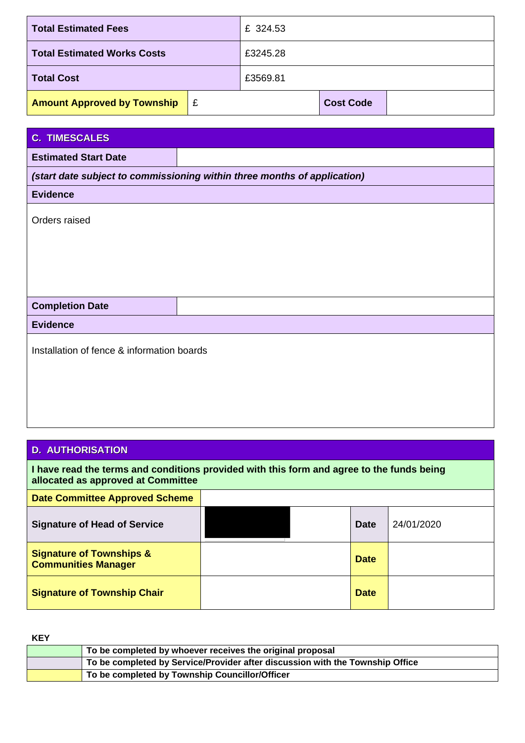| <b>Total Estimated Fees</b>             |  | £ 324.53 |                  |  |
|-----------------------------------------|--|----------|------------------|--|
| <b>Total Estimated Works Costs</b>      |  | £3245.28 |                  |  |
| <b>Total Cost</b>                       |  | £3569.81 |                  |  |
| <b>Amount Approved by Township</b><br>E |  |          | <b>Cost Code</b> |  |

| <b>C. TIMESCALES</b>                                                     |  |  |
|--------------------------------------------------------------------------|--|--|
| <b>Estimated Start Date</b>                                              |  |  |
| (start date subject to commissioning within three months of application) |  |  |
| <b>Evidence</b>                                                          |  |  |
| Orders raised                                                            |  |  |
|                                                                          |  |  |
|                                                                          |  |  |
|                                                                          |  |  |
| <b>Completion Date</b>                                                   |  |  |
| <b>Evidence</b>                                                          |  |  |
| Installation of fence & information boards                               |  |  |

### **D. AUTHORISATION**

| I have read the terms and conditions provided with this form and agree to the funds being<br>allocated as approved at Committee |  |             |            |
|---------------------------------------------------------------------------------------------------------------------------------|--|-------------|------------|
| <b>Date Committee Approved Scheme</b>                                                                                           |  |             |            |
| <b>Signature of Head of Service</b>                                                                                             |  | <b>Date</b> | 24/01/2020 |
| <b>Signature of Townships &amp;</b><br><b>Communities Manager</b>                                                               |  | <b>Date</b> |            |
| <b>Signature of Township Chair</b>                                                                                              |  | <b>Date</b> |            |

**KEY**

| To be completed by whoever receives the original proposal                     |
|-------------------------------------------------------------------------------|
| To be completed by Service/Provider after discussion with the Township Office |
| To be completed by Township Councillor/Officer                                |